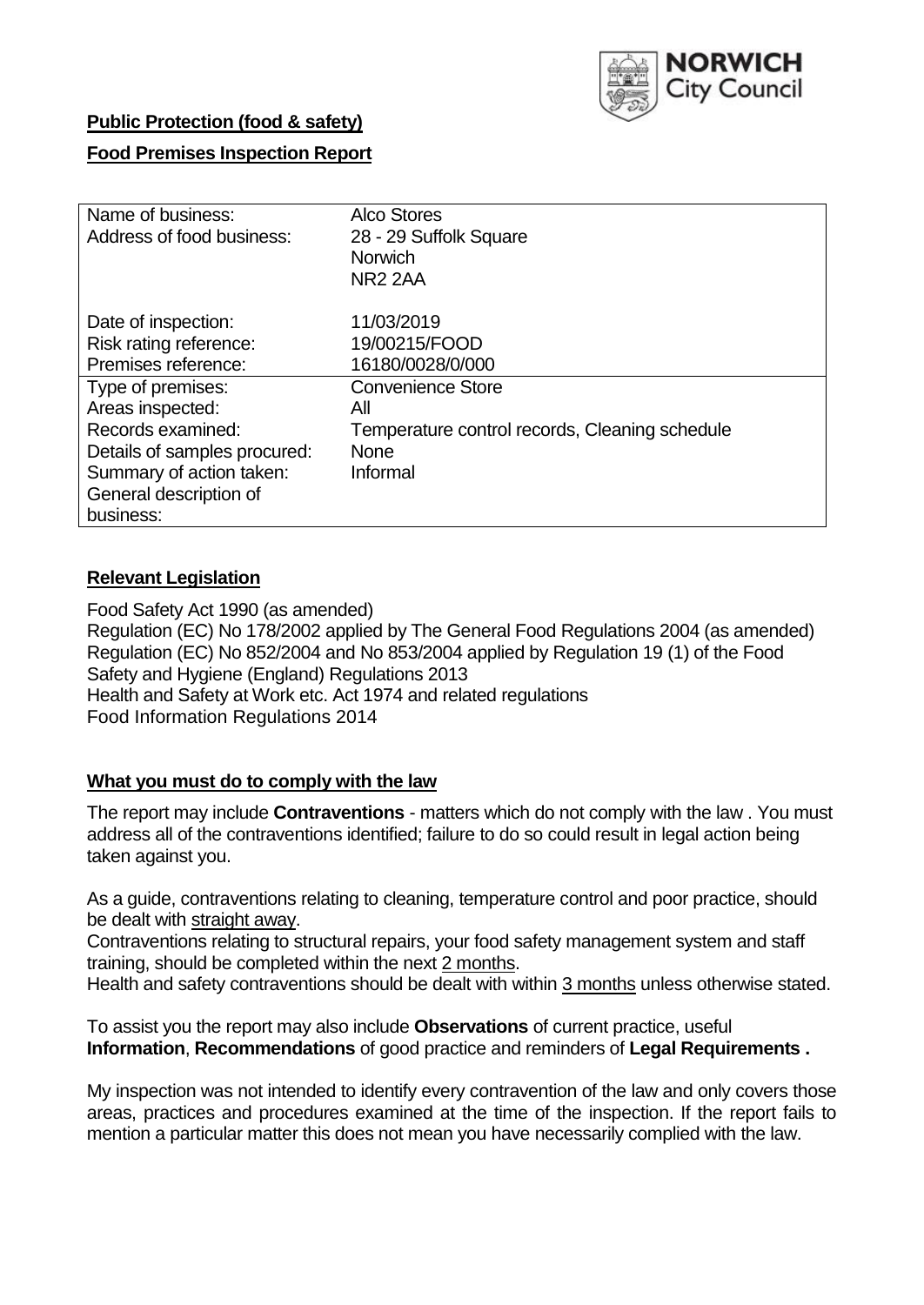

### **Public Protection (food & safety)**

### **Food Premises Inspection Report**

| Name of business:            | <b>Alco Stores</b>                             |
|------------------------------|------------------------------------------------|
| Address of food business:    | 28 - 29 Suffolk Square                         |
|                              | <b>Norwich</b>                                 |
|                              | <b>NR2 2AA</b>                                 |
| Date of inspection:          | 11/03/2019                                     |
| Risk rating reference:       | 19/00215/FOOD                                  |
| Premises reference:          | 16180/0028/0/000                               |
| Type of premises:            | <b>Convenience Store</b>                       |
| Areas inspected:             | All                                            |
| Records examined:            | Temperature control records, Cleaning schedule |
| Details of samples procured: | <b>None</b>                                    |
| Summary of action taken:     | Informal                                       |
| General description of       |                                                |
| business:                    |                                                |

### **Relevant Legislation**

Food Safety Act 1990 (as amended) Regulation (EC) No 178/2002 applied by The General Food Regulations 2004 (as amended) Regulation (EC) No 852/2004 and No 853/2004 applied by Regulation 19 (1) of the Food Safety and Hygiene (England) Regulations 2013 Health and Safety at Work etc. Act 1974 and related regulations Food Information Regulations 2014

### **What you must do to comply with the law**

The report may include **Contraventions** - matters which do not comply with the law . You must address all of the contraventions identified; failure to do so could result in legal action being taken against you.

As a guide, contraventions relating to cleaning, temperature control and poor practice, should be dealt with straight away.

Contraventions relating to structural repairs, your food safety management system and staff training, should be completed within the next 2 months.

Health and safety contraventions should be dealt with within 3 months unless otherwise stated.

To assist you the report may also include **Observations** of current practice, useful **Information**, **Recommendations** of good practice and reminders of **Legal Requirements .**

My inspection was not intended to identify every contravention of the law and only covers those areas, practices and procedures examined at the time of the inspection. If the report fails to mention a particular matter this does not mean you have necessarily complied with the law.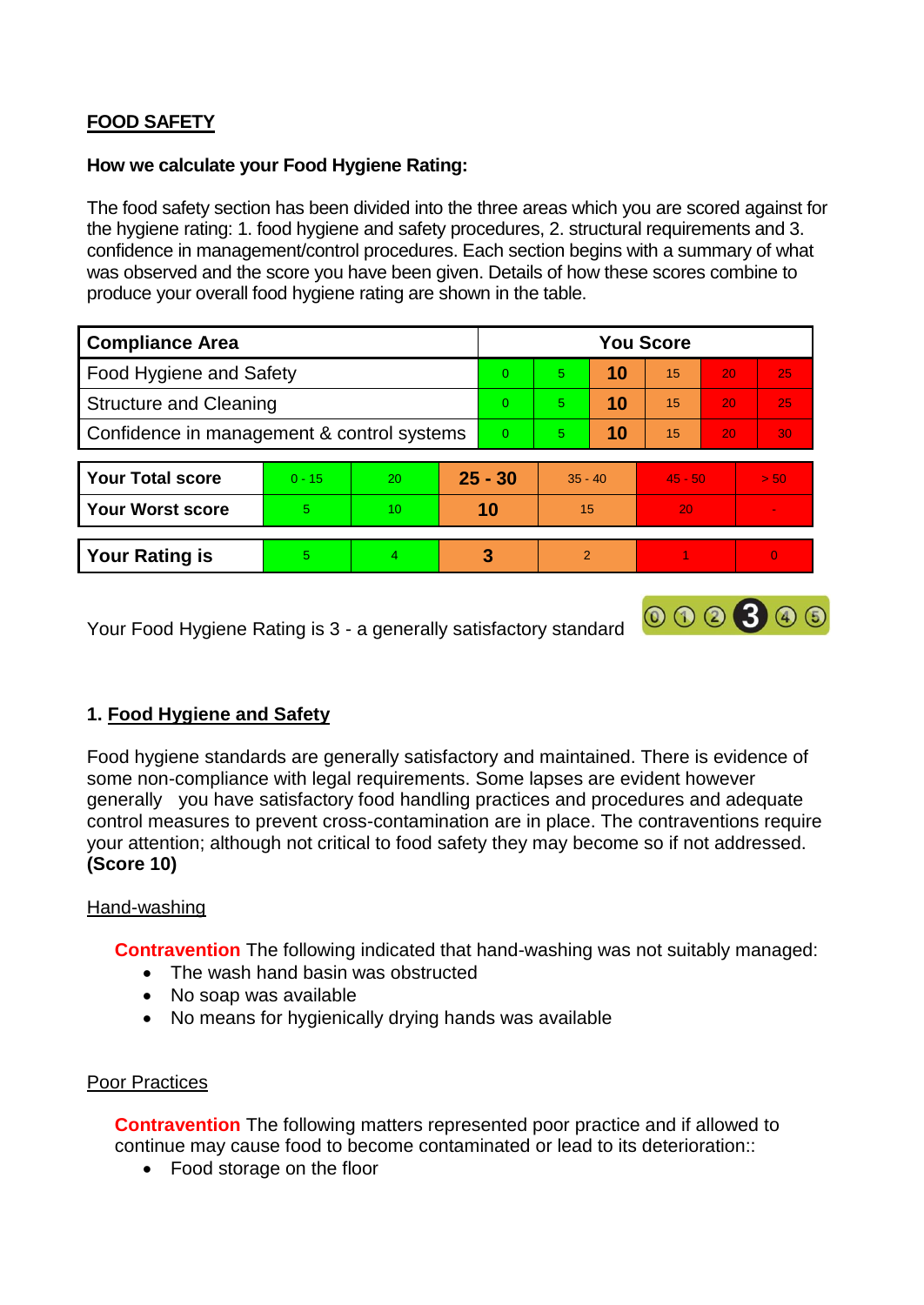# **FOOD SAFETY**

### **How we calculate your Food Hygiene Rating:**

The food safety section has been divided into the three areas which you are scored against for the hygiene rating: 1. food hygiene and safety procedures, 2. structural requirements and 3. confidence in management/control procedures. Each section begins with a summary of what was observed and the score you have been given. Details of how these scores combine to produce your overall food hygiene rating are shown in the table.

| <b>Compliance Area</b>                     |          |    |           | <b>You Score</b> |                |    |           |                 |                |  |  |
|--------------------------------------------|----------|----|-----------|------------------|----------------|----|-----------|-----------------|----------------|--|--|
| Food Hygiene and Safety                    |          |    |           | $\Omega$         | 5              | 10 | 15        | 20              | 25             |  |  |
| <b>Structure and Cleaning</b>              |          |    |           | $\Omega$         | $\overline{5}$ | 10 | 15        | 20              | 25             |  |  |
| Confidence in management & control systems |          |    | $\Omega$  | 5                | 10             | 15 | 20        | 30 <sub>1</sub> |                |  |  |
|                                            |          |    |           |                  |                |    |           |                 |                |  |  |
| <b>Your Total score</b>                    | $0 - 15$ | 20 | $25 - 30$ |                  | $35 - 40$      |    | $45 - 50$ |                 | > 50           |  |  |
| <b>Your Worst score</b>                    | 5.       | 10 | 10        |                  | 15             |    | 20        |                 |                |  |  |
|                                            |          |    |           |                  |                |    |           |                 |                |  |  |
| <b>Your Rating is</b>                      | 5.       | 4  |           | 3                | $\mathcal{P}$  |    |           |                 | $\overline{0}$ |  |  |

Your Food Hygiene Rating is 3 - a generally satisfactory standard

# **1. Food Hygiene and Safety**

Food hygiene standards are generally satisfactory and maintained. There is evidence of some non-compliance with legal requirements. Some lapses are evident however generally you have satisfactory food handling practices and procedures and adequate control measures to prevent cross-contamination are in place. The contraventions require your attention; although not critical to food safety they may become so if not addressed. **(Score 10)**

000300

### Hand-washing

**Contravention** The following indicated that hand-washing was not suitably managed:

- The wash hand basin was obstructed
- No soap was available
- No means for hygienically drying hands was available

### Poor Practices

**Contravention** The following matters represented poor practice and if allowed to continue may cause food to become contaminated or lead to its deterioration::

Food storage on the floor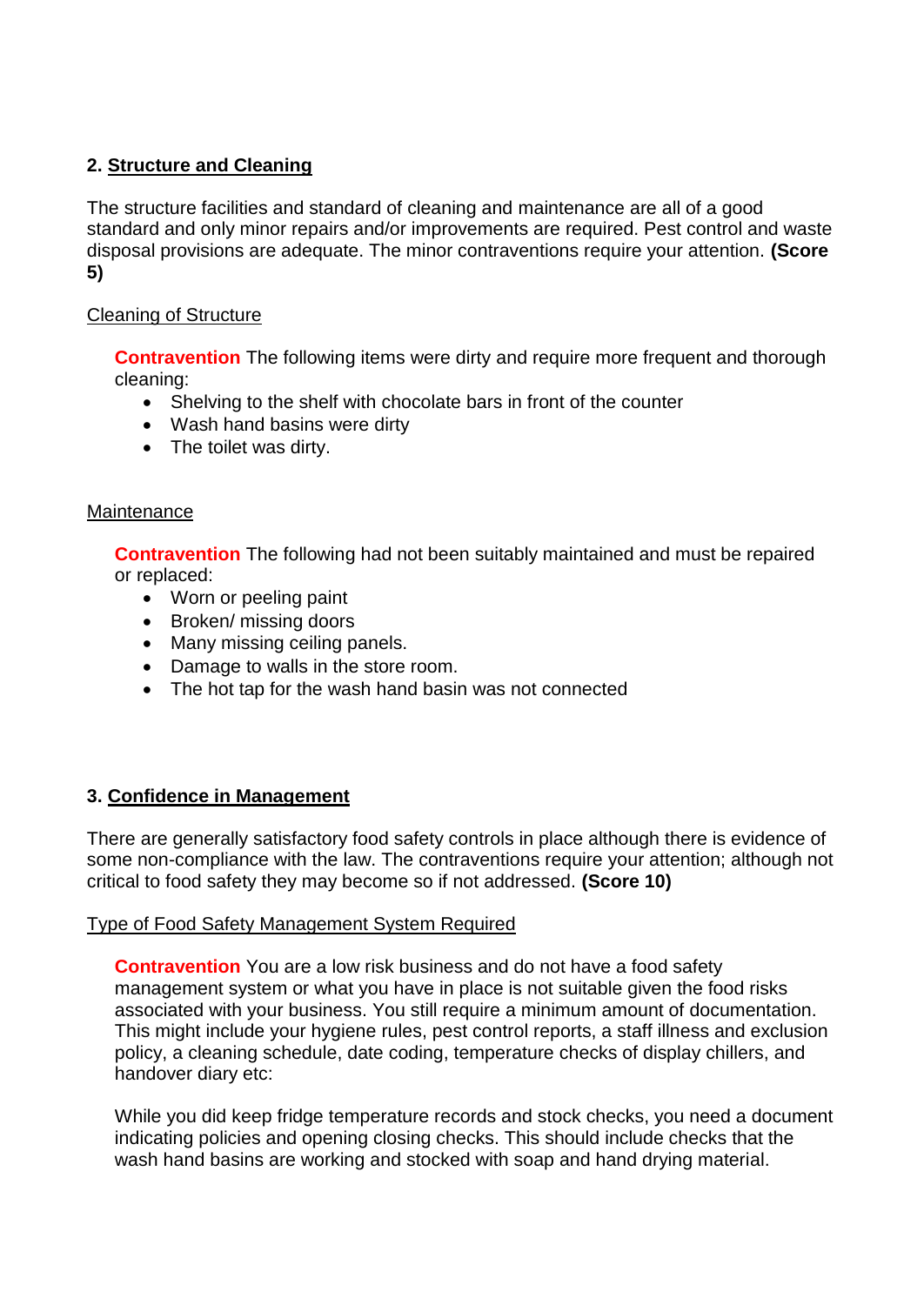# **2. Structure and Cleaning**

The structure facilities and standard of cleaning and maintenance are all of a good standard and only minor repairs and/or improvements are required. Pest control and waste disposal provisions are adequate. The minor contraventions require your attention. **(Score 5)**

### Cleaning of Structure

**Contravention** The following items were dirty and require more frequent and thorough cleaning:

- Shelving to the shelf with chocolate bars in front of the counter
- Wash hand basins were dirty
- The toilet was dirty.

### **Maintenance**

**Contravention** The following had not been suitably maintained and must be repaired or replaced:

- Worn or peeling paint
- Broken/ missing doors
- Many missing ceiling panels.
- Damage to walls in the store room.
- The hot tap for the wash hand basin was not connected

# **3. Confidence in Management**

There are generally satisfactory food safety controls in place although there is evidence of some non-compliance with the law. The contraventions require your attention; although not critical to food safety they may become so if not addressed. **(Score 10)**

### Type of Food Safety Management System Required

**Contravention** You are a low risk business and do not have a food safety management system or what you have in place is not suitable given the food risks associated with your business. You still require a minimum amount of documentation. This might include your hygiene rules, pest control reports, a staff illness and exclusion policy, a cleaning schedule, date coding, temperature checks of display chillers, and handover diary etc:

While you did keep fridge temperature records and stock checks, you need a document indicating policies and opening closing checks. This should include checks that the wash hand basins are working and stocked with soap and hand drying material.